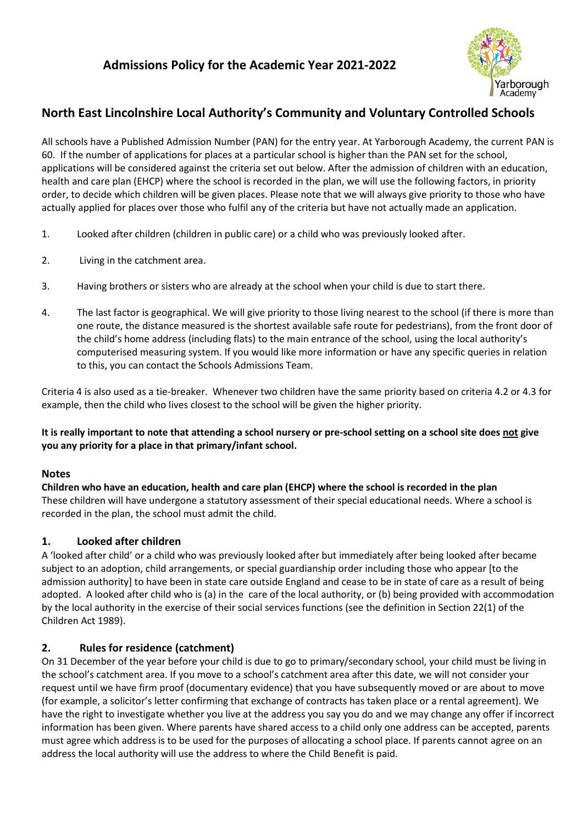

# **North East Lincolnshire Local Authority's Community and Voluntary Controlled Schools**

All schools have a Published Admission Number (PAN) for the entry year. At Yarborough Academy, the current PAN is 60. If the number of applications for places at a particular school is higher than the PAN set for the school, applications will be considered against the criteria set out below. After the admission of children with an education, health and care plan (EHCP) where the school is recorded in the plan, we will use the following factors, in priority order, to decide which children will be given places. Please note that we will always give priority to those who have actually applied for places over those who fulfil any of the criteria but have not actually made an application.

- 1. Looked after children (children in public care) or a child who was previously looked after.
- 2. Living in the catchment area.
- 3. Having brothers or sisters who are already at the school when your child is due to start there.
- 4. The last factor is geographical. We will give priority to those living nearest to the school (if there is more than one route, the distance measured is the shortest available safe route for pedestrians), from the front door of the child's home address (including flats) to the main entrance of the school, using the local authority's computerised measuring system. If you would like more information or have any specific queries in relation to this, you can contact the Schools Admissions Team.

Criteria 4 is also used as a tie-breaker. Whenever two children have the same priority based on criteria 4.2 or 4.3 for example, then the child who lives closest to the school will be given the higher priority.

#### **It is really important to note that attending a school nursery or pre-school setting on a school site does not give you any priority for a place in that primary/infant school.**

#### **Notes**

**Children who have an education, health and care plan (EHCP) where the school is recorded in the plan** These children will have undergone a statutory assessment of their special educational needs. Where a school is recorded in the plan, the school must admit the child.

## **1. Looked after children**

A 'looked after child' or a child who was previously looked after but immediately after being looked after became subject to an adoption, child arrangements, or special guardianship order including those who appear [to the admission authority] to have been in state care outside England and cease to be in state of care as a result of being adopted. A looked after child who is (a) in the care of the local authority, or (b) being provided with accommodation by the local authority in the exercise of their social services functions (see the definition in Section 22(1) of the Children Act 1989).

## **2. Rules for residence (catchment)**

On 31 December of the year before your child is due to go to primary/secondary school, your child must be living in the school's catchment area. If you move to a school's catchment area after this date, we will not consider your request until we have firm proof (documentary evidence) that you have subsequently moved or are about to move (for example, a solicitor's letter confirming that exchange of contracts has taken place or a rental agreement). We have the right to investigate whether you live at the address you say you do and we may change any offer if incorrect information has been given. Where parents have shared access to a child only one address can be accepted, parents must agree which address is to be used for the purposes of allocating a school place. If parents cannot agree on an address the local authority will use the address to where the Child Benefit is paid.